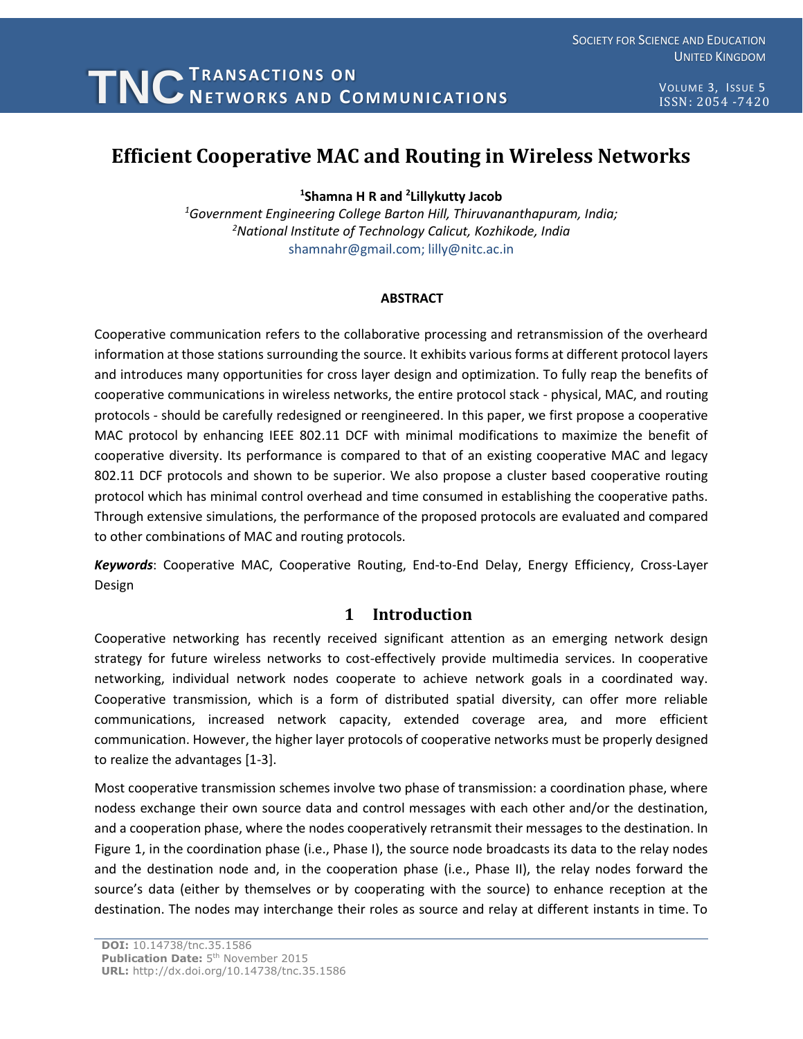VOLUME 3, ISSUE 5 ISSN: 2054 -7420

# **Efficient Cooperative MAC and Routing in Wireless Networks**

**1 Shamna H R and <sup>2</sup> Lillykutty Jacob**

*<sup>1</sup>Government Engineering College Barton Hill, Thiruvananthapuram, India; <sup>2</sup>National Institute of Technology Calicut, Kozhikode, India* shamnahr@gmail.com; lilly@nitc.ac.in

### **ABSTRACT**

Cooperative communication refers to the collaborative processing and retransmission of the overheard information at those stations surrounding the source. It exhibits various forms at different protocol layers and introduces many opportunities for cross layer design and optimization. To fully reap the benefits of cooperative communications in wireless networks, the entire protocol stack - physical, MAC, and routing protocols - should be carefully redesigned or reengineered. In this paper, we first propose a cooperative MAC protocol by enhancing IEEE 802.11 DCF with minimal modifications to maximize the benefit of cooperative diversity. Its performance is compared to that of an existing cooperative MAC and legacy 802.11 DCF protocols and shown to be superior. We also propose a cluster based cooperative routing protocol which has minimal control overhead and time consumed in establishing the cooperative paths. Through extensive simulations, the performance of the proposed protocols are evaluated and compared to other combinations of MAC and routing protocols.

*Keywords*: Cooperative MAC, Cooperative Routing, End-to-End Delay, Energy Efficiency, Cross-Layer Design

# **1 Introduction**

Cooperative networking has recently received significant attention as an emerging network design strategy for future wireless networks to cost-effectively provide multimedia services. In cooperative networking, individual network nodes cooperate to achieve network goals in a coordinated way. Cooperative transmission, which is a form of distributed spatial diversity, can offer more reliable communications, increased network capacity, extended coverage area, and more efficient communication. However, the higher layer protocols of cooperative networks must be properly designed to realize the advantages [1-3].

Most cooperative transmission schemes involve two phase of transmission: a coordination phase, where nodess exchange their own source data and control messages with each other and/or the destination, and a cooperation phase, where the nodes cooperatively retransmit their messages to the destination. In Figure 1, in the coordination phase (i.e., Phase I), the source node broadcasts its data to the relay nodes and the destination node and, in the cooperation phase (i.e., Phase II), the relay nodes forward the source's data (either by themselves or by cooperating with the source) to enhance reception at the destination. The nodes may interchange their roles as source and relay at different instants in time. To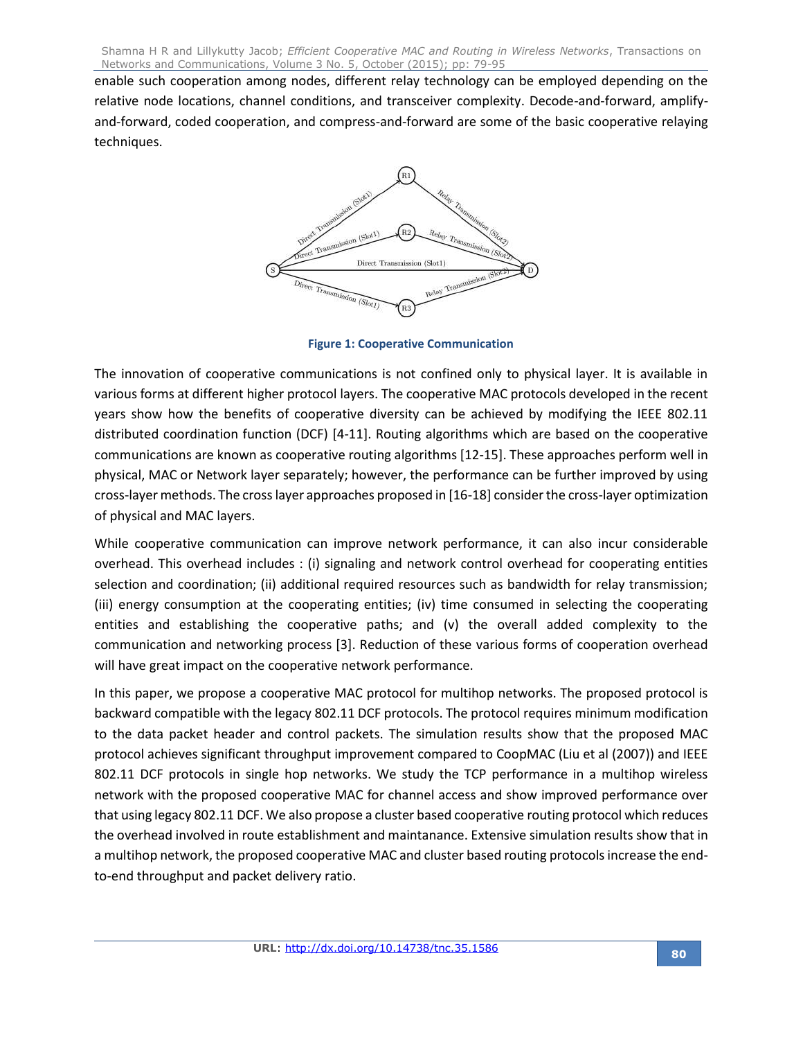enable such cooperation among nodes, different relay technology can be employed depending on the relative node locations, channel conditions, and transceiver complexity. Decode-and-forward, amplifyand-forward, coded cooperation, and compress-and-forward are some of the basic cooperative relaying techniques.



**Figure 1: Cooperative Communication**

The innovation of cooperative communications is not confined only to physical layer. It is available in various forms at different higher protocol layers. The cooperative MAC protocols developed in the recent years show how the benefits of cooperative diversity can be achieved by modifying the IEEE 802.11 distributed coordination function (DCF) [4-11]. Routing algorithms which are based on the cooperative communications are known as cooperative routing algorithms [12-15]. These approaches perform well in physical, MAC or Network layer separately; however, the performance can be further improved by using cross-layer methods. The cross layer approaches proposed in [16-18] consider the cross-layer optimization of physical and MAC layers.

While cooperative communication can improve network performance, it can also incur considerable overhead. This overhead includes : (i) signaling and network control overhead for cooperating entities selection and coordination; (ii) additional required resources such as bandwidth for relay transmission; (iii) energy consumption at the cooperating entities; (iv) time consumed in selecting the cooperating entities and establishing the cooperative paths; and (v) the overall added complexity to the communication and networking process [3]. Reduction of these various forms of cooperation overhead will have great impact on the cooperative network performance.

In this paper, we propose a cooperative MAC protocol for multihop networks. The proposed protocol is backward compatible with the legacy 802.11 DCF protocols. The protocol requires minimum modification to the data packet header and control packets. The simulation results show that the proposed MAC protocol achieves significant throughput improvement compared to CoopMAC (Liu et al (2007)) and IEEE 802.11 DCF protocols in single hop networks. We study the TCP performance in a multihop wireless network with the proposed cooperative MAC for channel access and show improved performance over that using legacy 802.11 DCF. We also propose a cluster based cooperative routing protocol which reduces the overhead involved in route establishment and maintanance. Extensive simulation results show that in a multihop network, the proposed cooperative MAC and cluster based routing protocols increase the endto-end throughput and packet delivery ratio.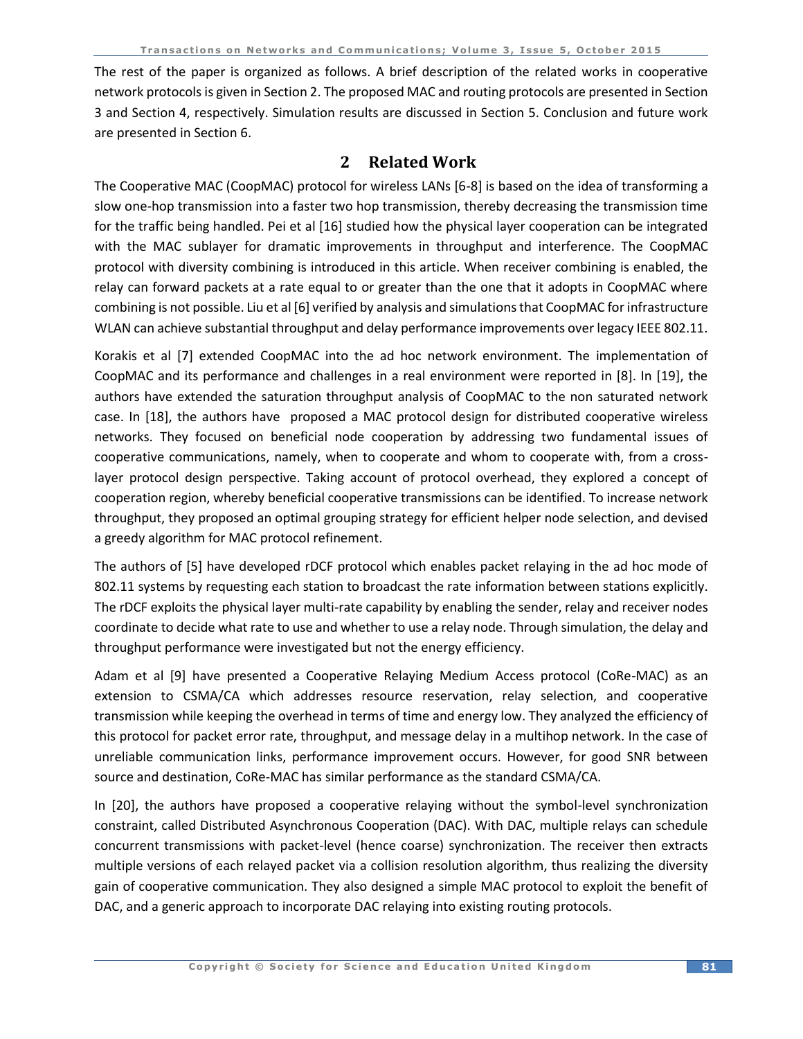The rest of the paper is organized as follows. A brief description of the related works in cooperative network protocols is given in Section 2. The proposed MAC and routing protocols are presented in Section 3 and Section 4, respectively. Simulation results are discussed in Section 5. Conclusion and future work are presented in Section 6.

# **2 Related Work**

The Cooperative MAC (CoopMAC) protocol for wireless LANs [6-8] is based on the idea of transforming a slow one-hop transmission into a faster two hop transmission, thereby decreasing the transmission time for the traffic being handled. Pei et al [16] studied how the physical layer cooperation can be integrated with the MAC sublayer for dramatic improvements in throughput and interference. The CoopMAC protocol with diversity combining is introduced in this article. When receiver combining is enabled, the relay can forward packets at a rate equal to or greater than the one that it adopts in CoopMAC where combining is not possible. Liu et al [6] verified by analysis and simulations that CoopMAC for infrastructure WLAN can achieve substantial throughput and delay performance improvements over legacy IEEE 802.11.

Korakis et al [7] extended CoopMAC into the ad hoc network environment. The implementation of CoopMAC and its performance and challenges in a real environment were reported in [8]. In [19], the authors have extended the saturation throughput analysis of CoopMAC to the non saturated network case. In [18], the authors have proposed a MAC protocol design for distributed cooperative wireless networks. They focused on beneficial node cooperation by addressing two fundamental issues of cooperative communications, namely, when to cooperate and whom to cooperate with, from a crosslayer protocol design perspective. Taking account of protocol overhead, they explored a concept of cooperation region, whereby beneficial cooperative transmissions can be identified. To increase network throughput, they proposed an optimal grouping strategy for efficient helper node selection, and devised a greedy algorithm for MAC protocol refinement.

The authors of [5] have developed rDCF protocol which enables packet relaying in the ad hoc mode of 802.11 systems by requesting each station to broadcast the rate information between stations explicitly. The rDCF exploits the physical layer multi-rate capability by enabling the sender, relay and receiver nodes coordinate to decide what rate to use and whether to use a relay node. Through simulation, the delay and throughput performance were investigated but not the energy efficiency.

Adam et al [9] have presented a Cooperative Relaying Medium Access protocol (CoRe-MAC) as an extension to CSMA/CA which addresses resource reservation, relay selection, and cooperative transmission while keeping the overhead in terms of time and energy low. They analyzed the efficiency of this protocol for packet error rate, throughput, and message delay in a multihop network. In the case of unreliable communication links, performance improvement occurs. However, for good SNR between source and destination, CoRe-MAC has similar performance as the standard CSMA/CA.

In [20], the authors have proposed a cooperative relaying without the symbol-level synchronization constraint, called Distributed Asynchronous Cooperation (DAC). With DAC, multiple relays can schedule concurrent transmissions with packet-level (hence coarse) synchronization. The receiver then extracts multiple versions of each relayed packet via a collision resolution algorithm, thus realizing the diversity gain of cooperative communication. They also designed a simple MAC protocol to exploit the benefit of DAC, and a generic approach to incorporate DAC relaying into existing routing protocols.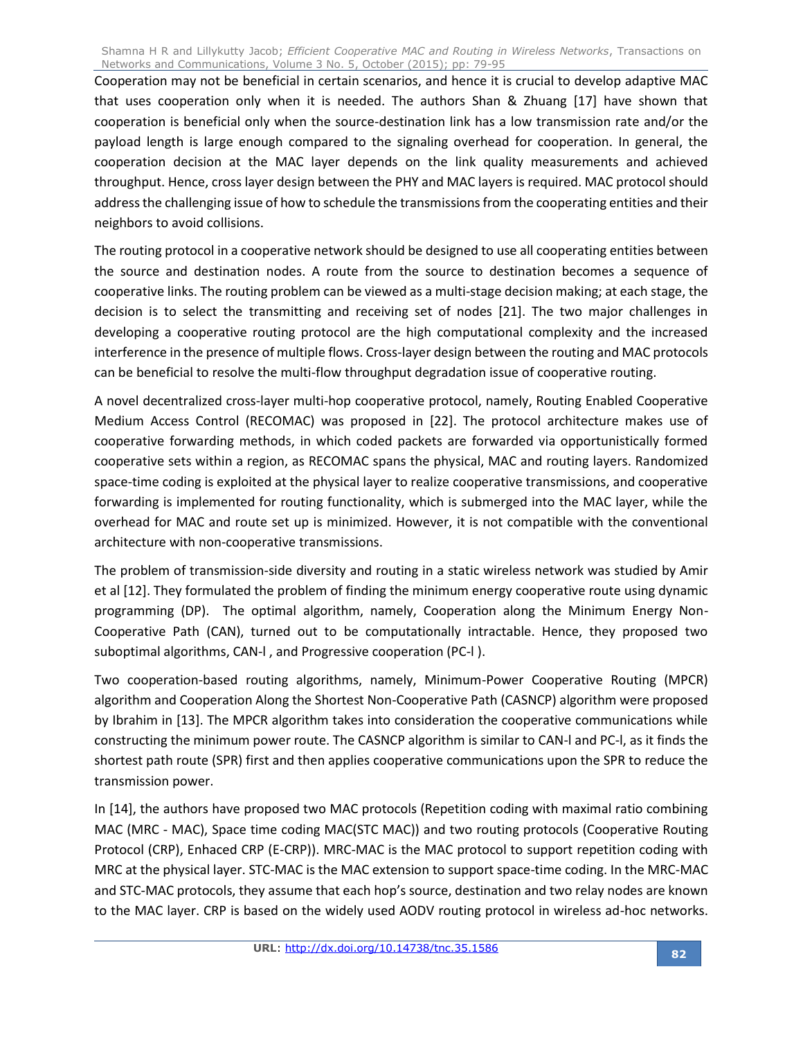Cooperation may not be beneficial in certain scenarios, and hence it is crucial to develop adaptive MAC that uses cooperation only when it is needed. The authors Shan & Zhuang [17] have shown that cooperation is beneficial only when the source-destination link has a low transmission rate and/or the payload length is large enough compared to the signaling overhead for cooperation. In general, the cooperation decision at the MAC layer depends on the link quality measurements and achieved throughput. Hence, cross layer design between the PHY and MAC layers is required. MAC protocol should address the challenging issue of how to schedule the transmissions from the cooperating entities and their neighbors to avoid collisions.

The routing protocol in a cooperative network should be designed to use all cooperating entities between the source and destination nodes. A route from the source to destination becomes a sequence of cooperative links. The routing problem can be viewed as a multi-stage decision making; at each stage, the decision is to select the transmitting and receiving set of nodes [21]. The two major challenges in developing a cooperative routing protocol are the high computational complexity and the increased interference in the presence of multiple flows. Cross-layer design between the routing and MAC protocols can be beneficial to resolve the multi-flow throughput degradation issue of cooperative routing.

A novel decentralized cross-layer multi-hop cooperative protocol, namely, Routing Enabled Cooperative Medium Access Control (RECOMAC) was proposed in [22]. The protocol architecture makes use of cooperative forwarding methods, in which coded packets are forwarded via opportunistically formed cooperative sets within a region, as RECOMAC spans the physical, MAC and routing layers. Randomized space-time coding is exploited at the physical layer to realize cooperative transmissions, and cooperative forwarding is implemented for routing functionality, which is submerged into the MAC layer, while the overhead for MAC and route set up is minimized. However, it is not compatible with the conventional architecture with non-cooperative transmissions.

The problem of transmission-side diversity and routing in a static wireless network was studied by Amir et al [12]. They formulated the problem of finding the minimum energy cooperative route using dynamic programming (DP). The optimal algorithm, namely, Cooperation along the Minimum Energy Non-Cooperative Path (CAN), turned out to be computationally intractable. Hence, they proposed two suboptimal algorithms, CAN-l , and Progressive cooperation (PC-l ).

Two cooperation-based routing algorithms, namely, Minimum-Power Cooperative Routing (MPCR) algorithm and Cooperation Along the Shortest Non-Cooperative Path (CASNCP) algorithm were proposed by Ibrahim in [13]. The MPCR algorithm takes into consideration the cooperative communications while constructing the minimum power route. The CASNCP algorithm is similar to CAN-l and PC-l, as it finds the shortest path route (SPR) first and then applies cooperative communications upon the SPR to reduce the transmission power.

In [14], the authors have proposed two MAC protocols (Repetition coding with maximal ratio combining MAC (MRC - MAC), Space time coding MAC(STC MAC)) and two routing protocols (Cooperative Routing Protocol (CRP), Enhaced CRP (E-CRP)). MRC-MAC is the MAC protocol to support repetition coding with MRC at the physical layer. STC-MAC is the MAC extension to support space-time coding. In the MRC-MAC and STC-MAC protocols, they assume that each hop's source, destination and two relay nodes are known to the MAC layer. CRP is based on the widely used AODV routing protocol in wireless ad-hoc networks.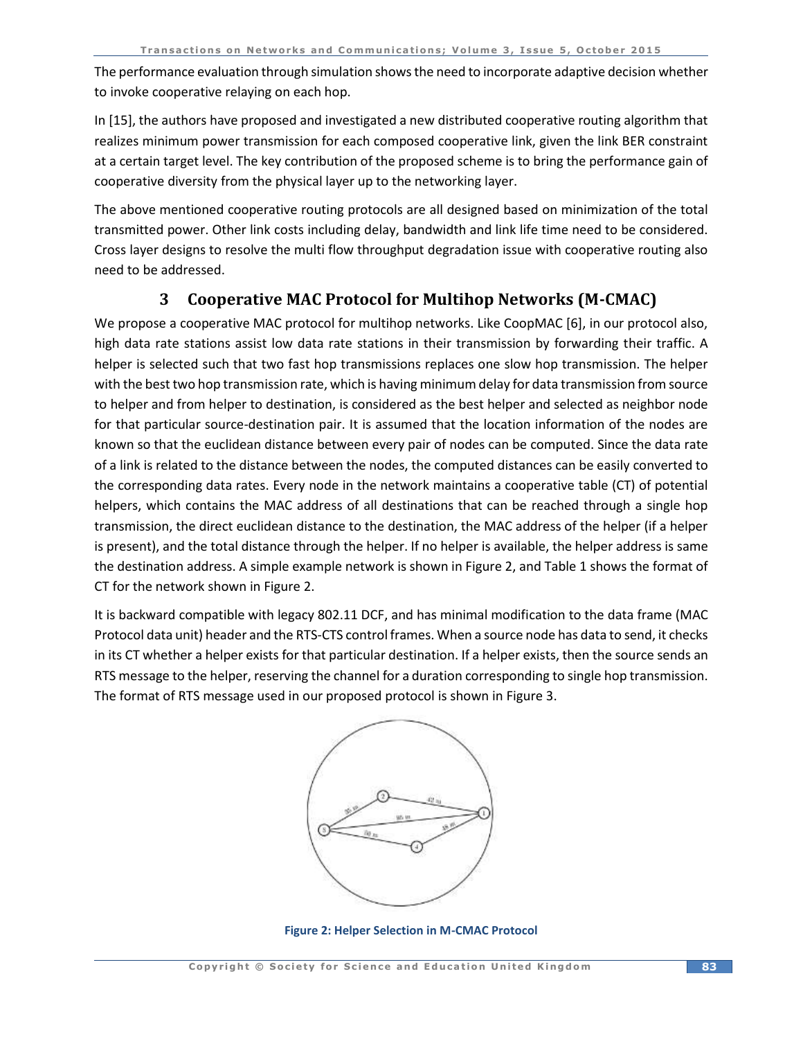The performance evaluation through simulation shows the need to incorporate adaptive decision whether to invoke cooperative relaying on each hop.

In [15], the authors have proposed and investigated a new distributed cooperative routing algorithm that realizes minimum power transmission for each composed cooperative link, given the link BER constraint at a certain target level. The key contribution of the proposed scheme is to bring the performance gain of cooperative diversity from the physical layer up to the networking layer.

The above mentioned cooperative routing protocols are all designed based on minimization of the total transmitted power. Other link costs including delay, bandwidth and link life time need to be considered. Cross layer designs to resolve the multi flow throughput degradation issue with cooperative routing also need to be addressed.

# **3 Cooperative MAC Protocol for Multihop Networks (M-CMAC)**

We propose a cooperative MAC protocol for multihop networks. Like CoopMAC [6], in our protocol also, high data rate stations assist low data rate stations in their transmission by forwarding their traffic. A helper is selected such that two fast hop transmissions replaces one slow hop transmission. The helper with the best two hop transmission rate, which is having minimum delay for data transmission from source to helper and from helper to destination, is considered as the best helper and selected as neighbor node for that particular source-destination pair. It is assumed that the location information of the nodes are known so that the euclidean distance between every pair of nodes can be computed. Since the data rate of a link is related to the distance between the nodes, the computed distances can be easily converted to the corresponding data rates. Every node in the network maintains a cooperative table (CT) of potential helpers, which contains the MAC address of all destinations that can be reached through a single hop transmission, the direct euclidean distance to the destination, the MAC address of the helper (if a helper is present), and the total distance through the helper. If no helper is available, the helper address is same the destination address. A simple example network is shown in Figure 2, and Table 1 shows the format of CT for the network shown in Figure 2.

It is backward compatible with legacy 802.11 DCF, and has minimal modification to the data frame (MAC Protocol data unit) header and the RTS-CTS control frames. When a source node has data to send, it checks in its CT whether a helper exists for that particular destination. If a helper exists, then the source sends an RTS message to the helper, reserving the channel for a duration corresponding to single hop transmission. The format of RTS message used in our proposed protocol is shown in Figure 3.



**Figure 2: Helper Selection in M-CMAC Protocol**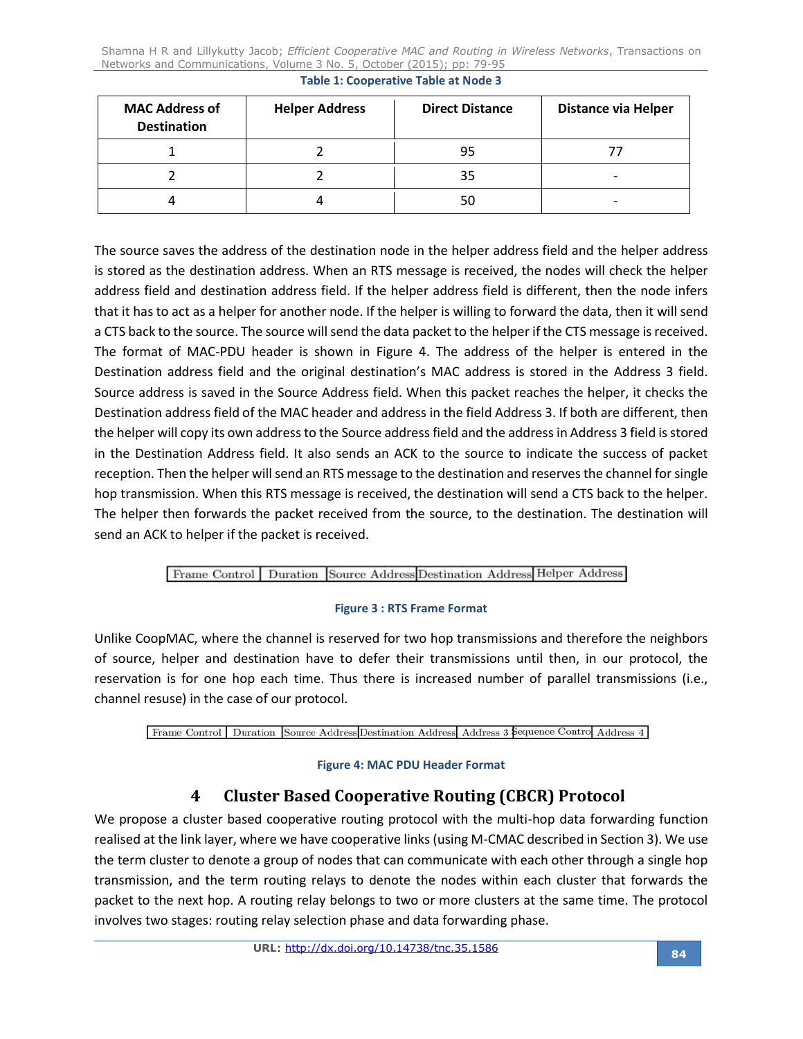| <b>MAC Address of</b><br><b>Destination</b> | <b>Helper Address</b> | <b>Direct Distance</b> | <b>Distance via Helper</b> |  |
|---------------------------------------------|-----------------------|------------------------|----------------------------|--|
|                                             |                       | 95                     |                            |  |
|                                             |                       | 35                     | -                          |  |
|                                             |                       | 50                     |                            |  |

**Table 1: Cooperative Table at Node 3** 

The source saves the address of the destination node in the helper address field and the helper address is stored as the destination address. When an RTS message is received, the nodes will check the helper address field and destination address field. If the helper address field is different, then the node infers that it has to act as a helper for another node. If the helper is willing to forward the data, then it will send a CTS back to the source. The source will send the data packet to the helper if the CTS message is received. The format of MAC-PDU header is shown in Figure 4. The address of the helper is entered in the Destination address field and the original destination's MAC address is stored in the Address 3 field. Source address is saved in the Source Address field. When this packet reaches the helper, it checks the Destination address field of the MAC header and address in the field Address 3. If both are different, then the helper will copy its own address to the Source address field and the address in Address 3 field is stored in the Destination Address field. It also sends an ACK to the source to indicate the success of packet reception. Then the helper will send an RTS message to the destination and reserves the channel for single hop transmission. When this RTS message is received, the destination will send a CTS back to the helper. The helper then forwards the packet received from the source, to the destination. The destination will send an ACK to helper if the packet is received.

## Frame Control | Duration | Source Address Destination Address | Helper Address

### **Figure 3 : RTS Frame Format**

Unlike CoopMAC, where the channel is reserved for two hop transmissions and therefore the neighbors of source, helper and destination have to defer their transmissions until then, in our protocol, the reservation is for one hop each time. Thus there is increased number of parallel transmissions (i.e., channel resuse) in the case of our protocol.

### Frame Control Duration Source Address Destination Address Address 3 Sequence Control Address 4

### **Figure 4: MAC PDU Header Format**

# **4 Cluster Based Cooperative Routing (CBCR) Protocol**

We propose a cluster based cooperative routing protocol with the multi-hop data forwarding function realised at the link layer, where we have cooperative links (using M-CMAC described in Section 3). We use the term cluster to denote a group of nodes that can communicate with each other through a single hop transmission, and the term routing relays to denote the nodes within each cluster that forwards the packet to the next hop. A routing relay belongs to two or more clusters at the same time. The protocol involves two stages: routing relay selection phase and data forwarding phase.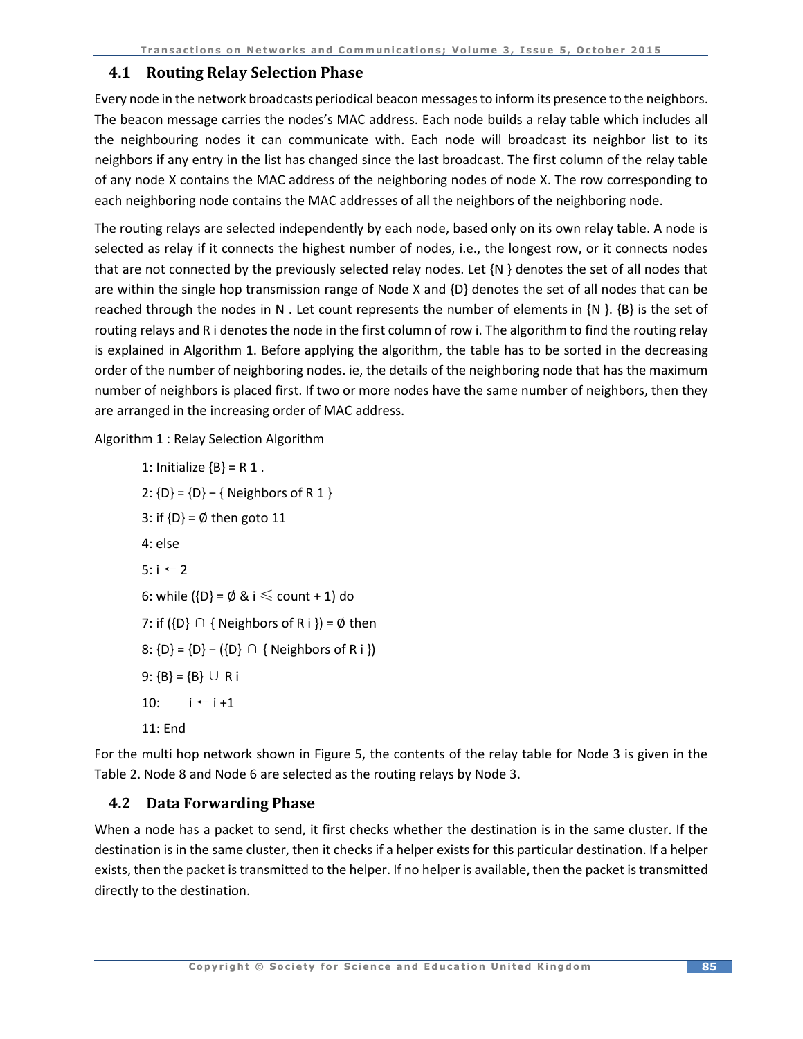#### **4.1 Routing Relay Selection Phase**

Every node in the network broadcasts periodical beacon messagesto inform its presence to the neighbors. The beacon message carries the nodes's MAC address. Each node builds a relay table which includes all the neighbouring nodes it can communicate with. Each node will broadcast its neighbor list to its neighbors if any entry in the list has changed since the last broadcast. The first column of the relay table of any node X contains the MAC address of the neighboring nodes of node X. The row corresponding to each neighboring node contains the MAC addresses of all the neighbors of the neighboring node.

The routing relays are selected independently by each node, based only on its own relay table. A node is selected as relay if it connects the highest number of nodes, i.e., the longest row, or it connects nodes that are not connected by the previously selected relay nodes. Let {N } denotes the set of all nodes that are within the single hop transmission range of Node X and {D} denotes the set of all nodes that can be reached through the nodes in N. Let count represents the number of elements in  $\{N\}$ .  $\{B\}$  is the set of routing relays and R i denotes the node in the first column of row i. The algorithm to find the routing relay is explained in Algorithm 1. Before applying the algorithm, the table has to be sorted in the decreasing order of the number of neighboring nodes. ie, the details of the neighboring node that has the maximum number of neighbors is placed first. If two or more nodes have the same number of neighbors, then they are arranged in the increasing order of MAC address.

Algorithm 1 : Relay Selection Algorithm

1: Initialize  $\{B\} = R 1$ . 2: {D} = {D} − { Neighbors of R 1 } 3: if  ${D} = \emptyset$  then goto 11 4: else 5:  $i$  ← 2 6: while  $\{D\} = \emptyset \& i \leq \text{count} + 1$  do 7: if  $({D} \cap {Neighbors of R i}) = \emptyset$  then 8:  ${D} = {D} - ({D} \cap { \text{ Neighbors of R i }} )$ 9:  ${B} = {B} \cup R$  i 10:  $i \leftarrow i + 1$ 11: End

For the multi hop network shown in Figure 5, the contents of the relay table for Node 3 is given in the Table 2. Node 8 and Node 6 are selected as the routing relays by Node 3.

## **4.2 Data Forwarding Phase**

When a node has a packet to send, it first checks whether the destination is in the same cluster. If the destination is in the same cluster, then it checks if a helper exists for this particular destination. If a helper exists, then the packet is transmitted to the helper. If no helper is available, then the packet is transmitted directly to the destination.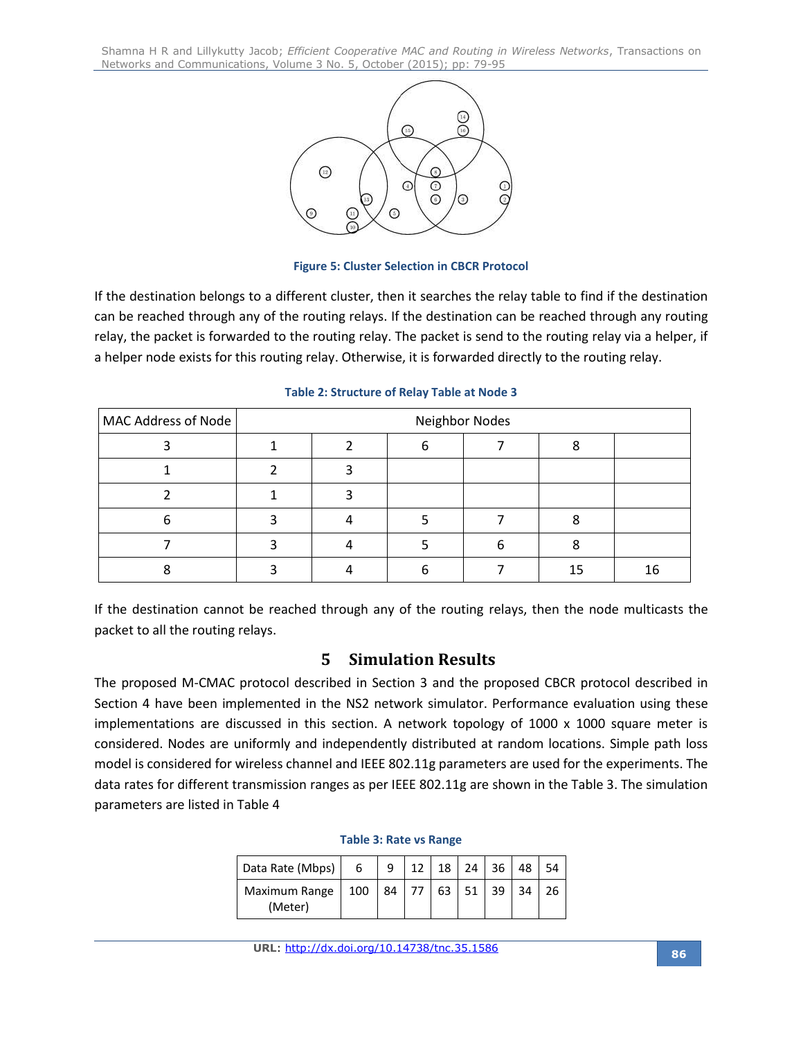

**Figure 5: Cluster Selection in CBCR Protocol**

If the destination belongs to a different cluster, then it searches the relay table to find if the destination can be reached through any of the routing relays. If the destination can be reached through any routing relay, the packet is forwarded to the routing relay. The packet is send to the routing relay via a helper, if a helper node exists for this routing relay. Otherwise, it is forwarded directly to the routing relay.

| MAC Address of Node | Neighbor Nodes |  |  |  |    |    |
|---------------------|----------------|--|--|--|----|----|
|                     |                |  |  |  |    |    |
|                     |                |  |  |  |    |    |
|                     |                |  |  |  |    |    |
| 6                   |                |  |  |  |    |    |
|                     |                |  |  |  |    |    |
|                     |                |  |  |  | 15 | 16 |

**Table 2: Structure of Relay Table at Node 3**

If the destination cannot be reached through any of the routing relays, then the node multicasts the packet to all the routing relays.

# **5 Simulation Results**

The proposed M-CMAC protocol described in Section 3 and the proposed CBCR protocol described in Section 4 have been implemented in the NS2 network simulator. Performance evaluation using these implementations are discussed in this section. A network topology of  $1000 \times 1000$  square meter is considered. Nodes are uniformly and independently distributed at random locations. Simple path loss model is considered for wireless channel and IEEE 802.11g parameters are used for the experiments. The data rates for different transmission ranges as per IEEE 802.11g are shown in the Table 3. The simulation parameters are listed in Table 4

| Data Rate (Mbps)         | 6   | q  | 18 | 24    | -36 | 48 |  |
|--------------------------|-----|----|----|-------|-----|----|--|
| Maximum Range<br>(Meter) | 100 | 84 | 63 | $-51$ | 39  | 34 |  |

#### **Table 3: Rate vs Range**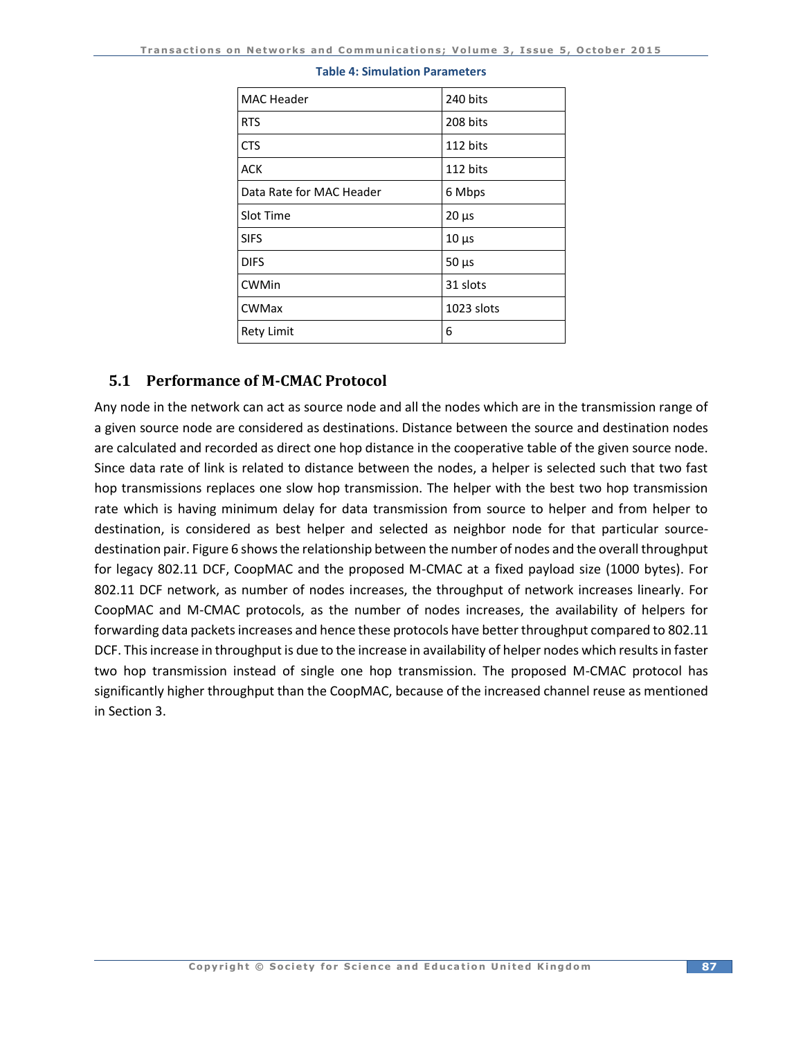| <b>MAC Header</b>        | 240 bits   |
|--------------------------|------------|
| <b>RTS</b>               | 208 bits   |
| <b>CTS</b>               | 112 bits   |
| <b>ACK</b>               | 112 bits   |
| Data Rate for MAC Header | 6 Mbps     |
| Slot Time                | $20 \mu s$ |
| <b>SIFS</b>              | $10 \mu s$ |
| <b>DIFS</b>              | $50 \mu s$ |
| <b>CWMin</b>             | 31 slots   |
| <b>CWMax</b>             | 1023 slots |
| <b>Rety Limit</b>        | 6          |

#### **Table 4: Simulation Parameters**

## **5.1 Performance of M-CMAC Protocol**

Any node in the network can act as source node and all the nodes which are in the transmission range of a given source node are considered as destinations. Distance between the source and destination nodes are calculated and recorded as direct one hop distance in the cooperative table of the given source node. Since data rate of link is related to distance between the nodes, a helper is selected such that two fast hop transmissions replaces one slow hop transmission. The helper with the best two hop transmission rate which is having minimum delay for data transmission from source to helper and from helper to destination, is considered as best helper and selected as neighbor node for that particular sourcedestination pair. Figure 6 shows the relationship between the number of nodes and the overall throughput for legacy 802.11 DCF, CoopMAC and the proposed M-CMAC at a fixed payload size (1000 bytes). For 802.11 DCF network, as number of nodes increases, the throughput of network increases linearly. For CoopMAC and M-CMAC protocols, as the number of nodes increases, the availability of helpers for forwarding data packets increases and hence these protocols have better throughput compared to 802.11 DCF. This increase in throughput is due to the increase in availability of helper nodes which results in faster two hop transmission instead of single one hop transmission. The proposed M-CMAC protocol has significantly higher throughput than the CoopMAC, because of the increased channel reuse as mentioned in Section 3.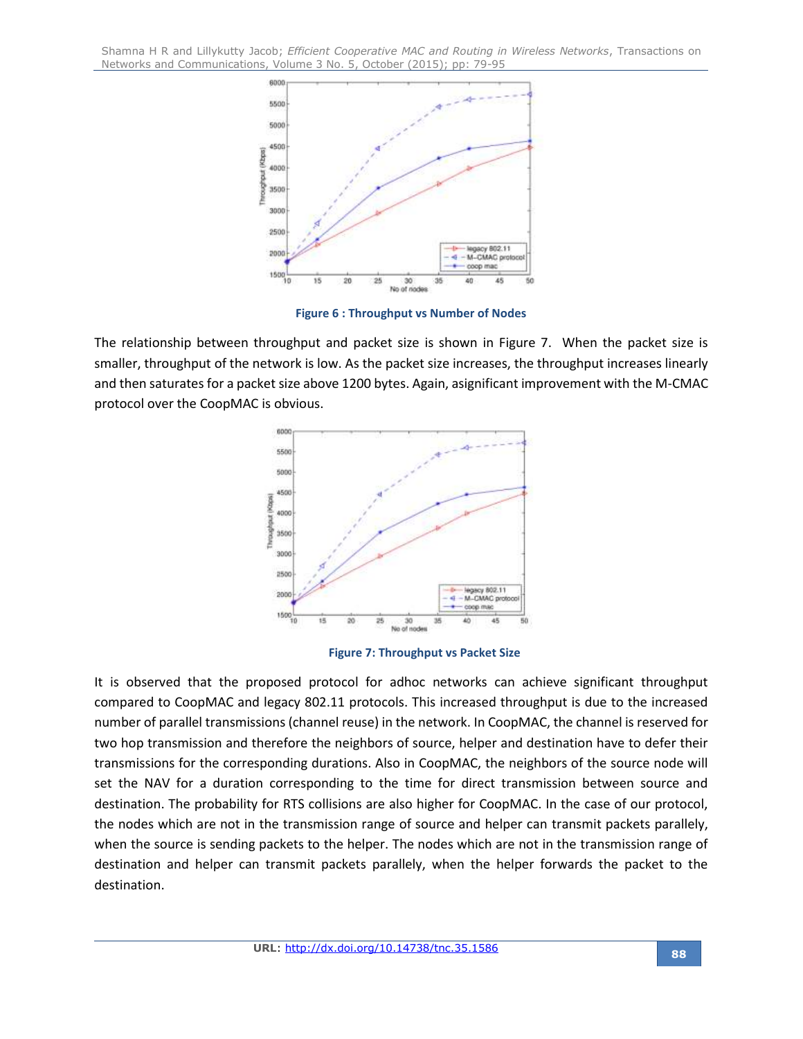

**Figure 6 : Throughput vs Number of Nodes**

The relationship between throughput and packet size is shown in Figure 7. When the packet size is smaller, throughput of the network is low. As the packet size increases, the throughput increases linearly and then saturates for a packet size above 1200 bytes. Again, asignificant improvement with the M-CMAC protocol over the CoopMAC is obvious.



**Figure 7: Throughput vs Packet Size**

It is observed that the proposed protocol for adhoc networks can achieve significant throughput compared to CoopMAC and legacy 802.11 protocols. This increased throughput is due to the increased number of parallel transmissions (channel reuse) in the network. In CoopMAC, the channel is reserved for two hop transmission and therefore the neighbors of source, helper and destination have to defer their transmissions for the corresponding durations. Also in CoopMAC, the neighbors of the source node will set the NAV for a duration corresponding to the time for direct transmission between source and destination. The probability for RTS collisions are also higher for CoopMAC. In the case of our protocol, the nodes which are not in the transmission range of source and helper can transmit packets parallely, when the source is sending packets to the helper. The nodes which are not in the transmission range of destination and helper can transmit packets parallely, when the helper forwards the packet to the destination.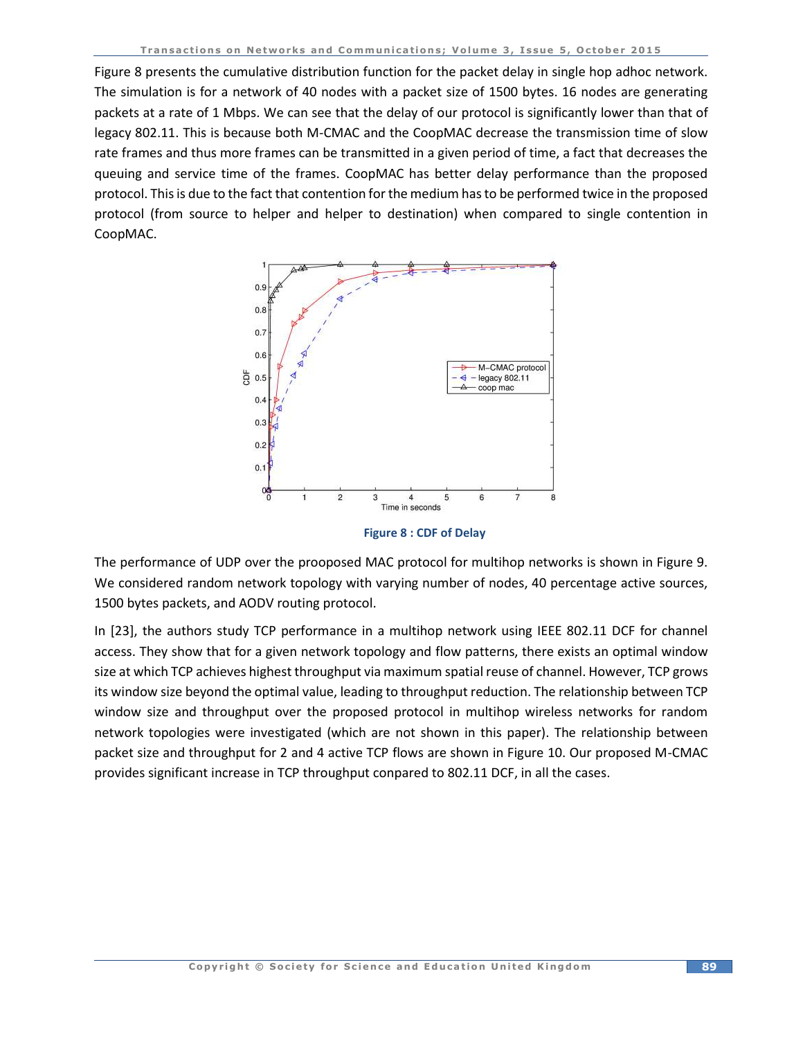Figure 8 presents the cumulative distribution function for the packet delay in single hop adhoc network. The simulation is for a network of 40 nodes with a packet size of 1500 bytes. 16 nodes are generating packets at a rate of 1 Mbps. We can see that the delay of our protocol is significantly lower than that of legacy 802.11. This is because both M-CMAC and the CoopMAC decrease the transmission time of slow rate frames and thus more frames can be transmitted in a given period of time, a fact that decreases the queuing and service time of the frames. CoopMAC has better delay performance than the proposed protocol. This is due to the fact that contention for the medium has to be performed twice in the proposed protocol (from source to helper and helper to destination) when compared to single contention in CoopMAC.



**Figure 8 : CDF of Delay**

The performance of UDP over the prooposed MAC protocol for multihop networks is shown in Figure 9. We considered random network topology with varying number of nodes, 40 percentage active sources, 1500 bytes packets, and AODV routing protocol.

In [23], the authors study TCP performance in a multihop network using IEEE 802.11 DCF for channel access. They show that for a given network topology and flow patterns, there exists an optimal window size at which TCP achieves highest throughput via maximum spatial reuse of channel. However, TCP grows its window size beyond the optimal value, leading to throughput reduction. The relationship between TCP window size and throughput over the proposed protocol in multihop wireless networks for random network topologies were investigated (which are not shown in this paper). The relationship between packet size and throughput for 2 and 4 active TCP flows are shown in Figure 10. Our proposed M-CMAC provides significant increase in TCP throughput conpared to 802.11 DCF, in all the cases.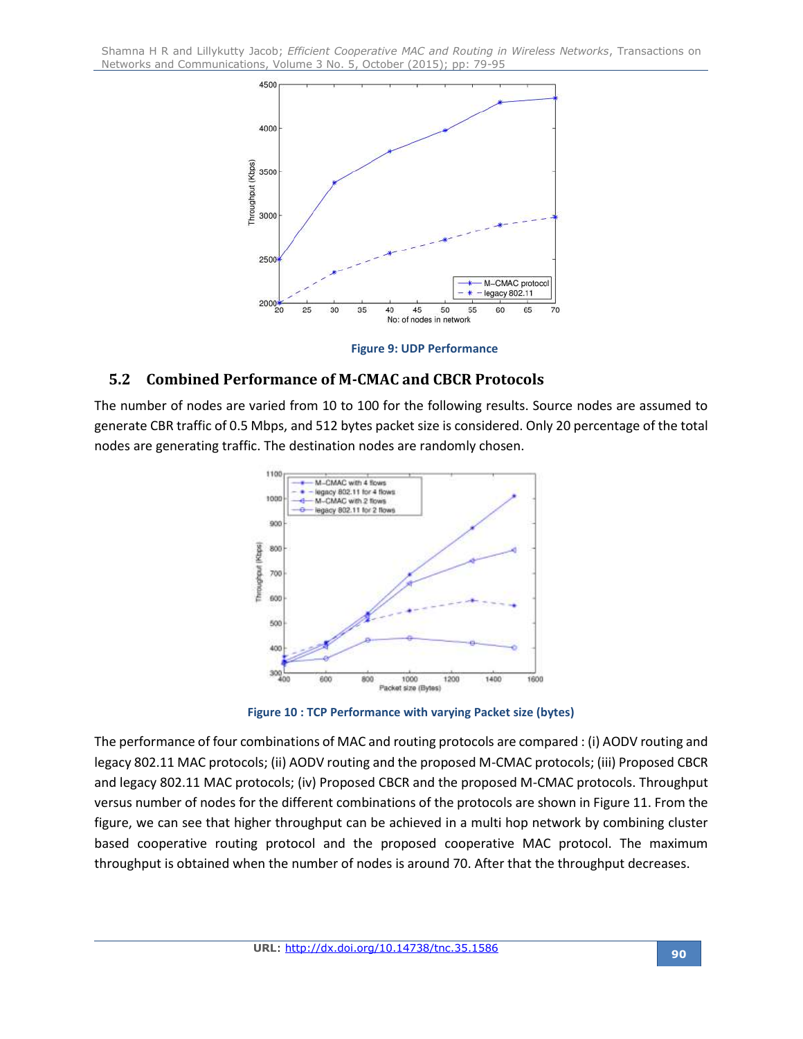

**Figure 9: UDP Performance**

## **5.2 Combined Performance of M-CMAC and CBCR Protocols**

The number of nodes are varied from 10 to 100 for the following results. Source nodes are assumed to generate CBR traffic of 0.5 Mbps, and 512 bytes packet size is considered. Only 20 percentage of the total nodes are generating traffic. The destination nodes are randomly chosen.



**Figure 10 : TCP Performance with varying Packet size (bytes)**

The performance of four combinations of MAC and routing protocols are compared : (i) AODV routing and legacy 802.11 MAC protocols; (ii) AODV routing and the proposed M-CMAC protocols; (iii) Proposed CBCR and legacy 802.11 MAC protocols; (iv) Proposed CBCR and the proposed M-CMAC protocols. Throughput versus number of nodes for the different combinations of the protocols are shown in Figure 11. From the figure, we can see that higher throughput can be achieved in a multi hop network by combining cluster based cooperative routing protocol and the proposed cooperative MAC protocol. The maximum throughput is obtained when the number of nodes is around 70. After that the throughput decreases.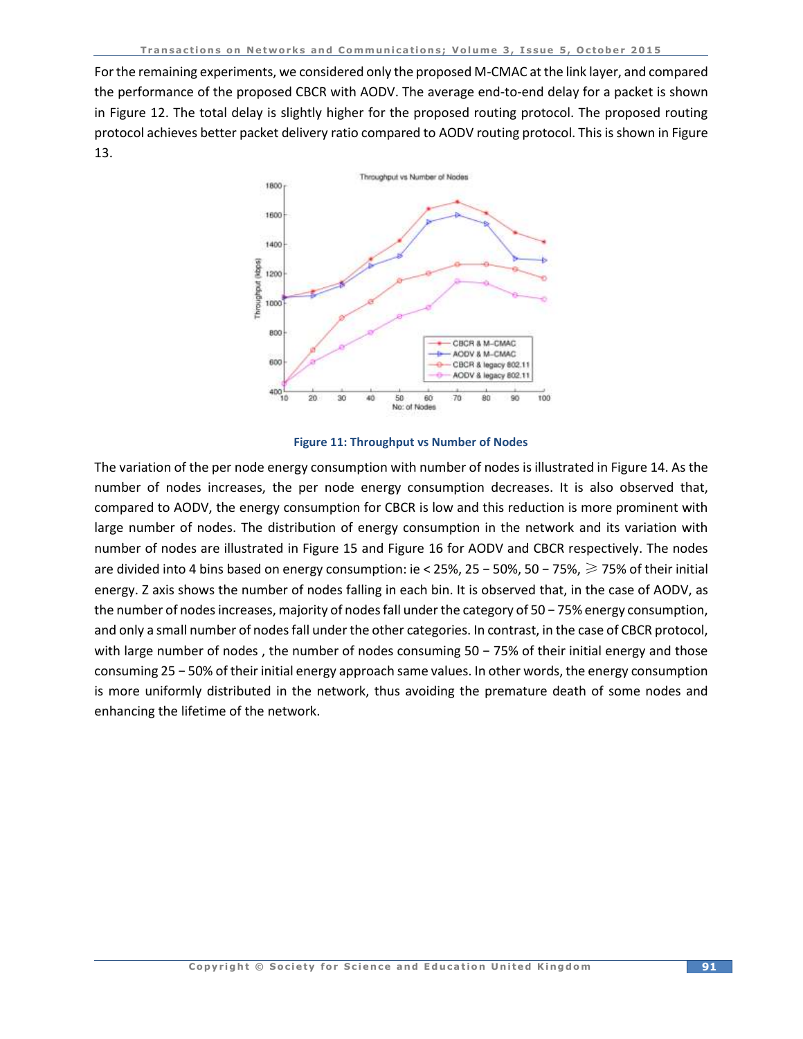For the remaining experiments, we considered only the proposed M-CMAC at the link layer, and compared the performance of the proposed CBCR with AODV. The average end-to-end delay for a packet is shown in Figure 12. The total delay is slightly higher for the proposed routing protocol. The proposed routing protocol achieves better packet delivery ratio compared to AODV routing protocol. This is shown in Figure 13.



#### **Figure 11: Throughput vs Number of Nodes**

The variation of the per node energy consumption with number of nodes is illustrated in Figure 14. As the number of nodes increases, the per node energy consumption decreases. It is also observed that, compared to AODV, the energy consumption for CBCR is low and this reduction is more prominent with large number of nodes. The distribution of energy consumption in the network and its variation with number of nodes are illustrated in Figure 15 and Figure 16 for AODV and CBCR respectively. The nodes are divided into 4 bins based on energy consumption: ie < 25%, 25 − 50%, 50 − 75%, ≥ 75% of their initial energy. Z axis shows the number of nodes falling in each bin. It is observed that, in the case of AODV, as the number of nodes increases, majority of nodes fall under the category of 50 − 75% energy consumption, and only a small number of nodes fall under the other categories. In contrast, in the case of CBCR protocol, with large number of nodes, the number of nodes consuming 50 − 75% of their initial energy and those consuming 25 − 50% of their initial energy approach same values. In other words, the energy consumption is more uniformly distributed in the network, thus avoiding the premature death of some nodes and enhancing the lifetime of the network.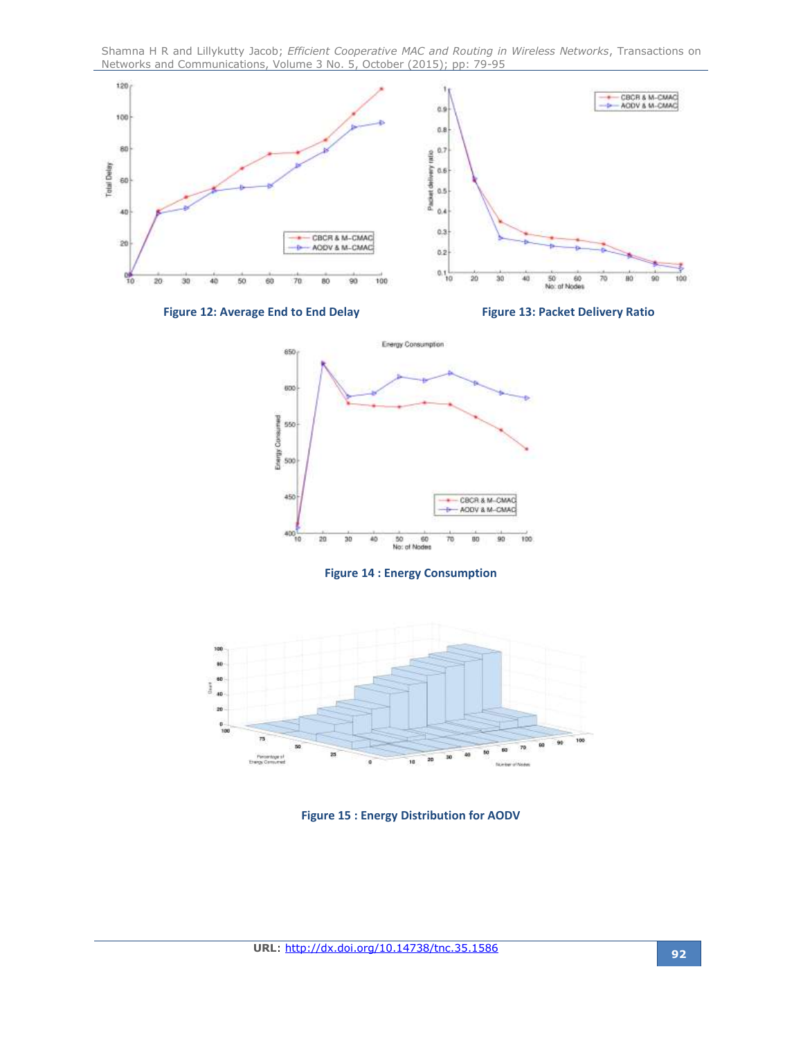

**Figure 12: Average End to End Delay Figure 13: Packet Delivery Ratio**



#### **Figure 14 : Energy Consumption**



**Figure 15 : Energy Distribution for AODV**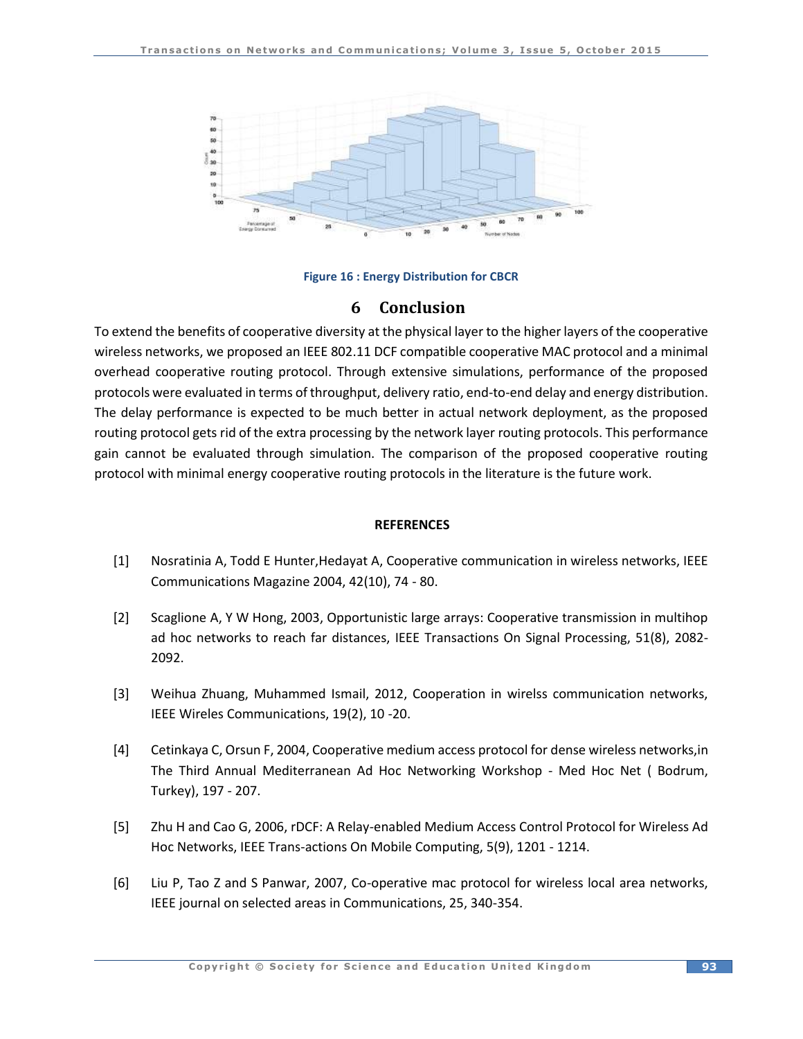

**Figure 16 : Energy Distribution for CBCR**

# **6 Conclusion**

To extend the benefits of cooperative diversity at the physical layer to the higher layers of the cooperative wireless networks, we proposed an IEEE 802.11 DCF compatible cooperative MAC protocol and a minimal overhead cooperative routing protocol. Through extensive simulations, performance of the proposed protocols were evaluated in terms of throughput, delivery ratio, end-to-end delay and energy distribution. The delay performance is expected to be much better in actual network deployment, as the proposed routing protocol gets rid of the extra processing by the network layer routing protocols. This performance gain cannot be evaluated through simulation. The comparison of the proposed cooperative routing protocol with minimal energy cooperative routing protocols in the literature is the future work.

#### **REFERENCES**

- [1] Nosratinia A, Todd E Hunter,Hedayat A, Cooperative communication in wireless networks, IEEE Communications Magazine 2004, 42(10), 74 - 80.
- [2] Scaglione A, Y W Hong, 2003, Opportunistic large arrays: Cooperative transmission in multihop ad hoc networks to reach far distances, IEEE Transactions On Signal Processing, 51(8), 2082- 2092.
- [3] Weihua Zhuang, Muhammed Ismail, 2012, Cooperation in wirelss communication networks, IEEE Wireles Communications, 19(2), 10 -20.
- [4] Cetinkaya C, Orsun F, 2004, Cooperative medium access protocol for dense wireless networks,in The Third Annual Mediterranean Ad Hoc Networking Workshop - Med Hoc Net ( Bodrum, Turkey), 197 - 207.
- [5] Zhu H and Cao G, 2006, rDCF: A Relay-enabled Medium Access Control Protocol for Wireless Ad Hoc Networks, IEEE Trans-actions On Mobile Computing, 5(9), 1201 - 1214.
- [6] Liu P, Tao Z and S Panwar, 2007, Co-operative mac protocol for wireless local area networks, IEEE journal on selected areas in Communications, 25, 340-354.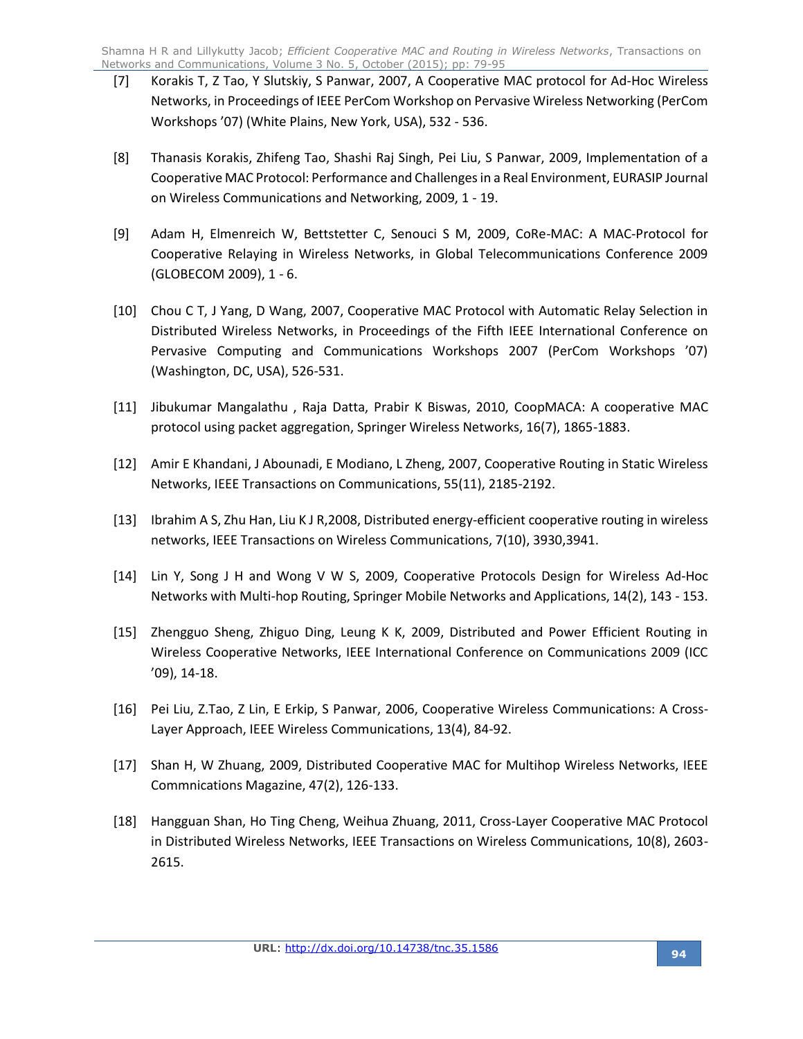- [7] Korakis T, Z Tao, Y Slutskiy, S Panwar, 2007, A Cooperative MAC protocol for Ad-Hoc Wireless Networks, in Proceedings of IEEE PerCom Workshop on Pervasive Wireless Networking (PerCom Workshops '07) (White Plains, New York, USA), 532 - 536.
- [8] Thanasis Korakis, Zhifeng Tao, Shashi Raj Singh, Pei Liu, S Panwar, 2009, Implementation of a Cooperative MAC Protocol: Performance and Challenges in a Real Environment, EURASIP Journal on Wireless Communications and Networking, 2009, 1 - 19.
- [9] Adam H, Elmenreich W, Bettstetter C, Senouci S M, 2009, CoRe-MAC: A MAC-Protocol for Cooperative Relaying in Wireless Networks, in Global Telecommunications Conference 2009 (GLOBECOM 2009), 1 - 6.
- [10] Chou C T, J Yang, D Wang, 2007, Cooperative MAC Protocol with Automatic Relay Selection in Distributed Wireless Networks, in Proceedings of the Fifth IEEE International Conference on Pervasive Computing and Communications Workshops 2007 (PerCom Workshops '07) (Washington, DC, USA), 526-531.
- [11] Jibukumar Mangalathu , Raja Datta, Prabir K Biswas, 2010, CoopMACA: A cooperative MAC protocol using packet aggregation, Springer Wireless Networks, 16(7), 1865-1883.
- [12] Amir E Khandani, J Abounadi, E Modiano, L Zheng, 2007, Cooperative Routing in Static Wireless Networks, IEEE Transactions on Communications, 55(11), 2185-2192.
- [13] Ibrahim A S, Zhu Han, Liu K J R,2008, Distributed energy-efficient cooperative routing in wireless networks, IEEE Transactions on Wireless Communications, 7(10), 3930,3941.
- [14] Lin Y, Song J H and Wong V W S, 2009, Cooperative Protocols Design for Wireless Ad-Hoc Networks with Multi-hop Routing, Springer Mobile Networks and Applications, 14(2), 143 - 153.
- [15] Zhengguo Sheng, Zhiguo Ding, Leung K K, 2009, Distributed and Power Efficient Routing in Wireless Cooperative Networks, IEEE International Conference on Communications 2009 (ICC '09), 14-18.
- [16] Pei Liu, Z.Tao, Z Lin, E Erkip, S Panwar, 2006, Cooperative Wireless Communications: A Cross-Layer Approach, IEEE Wireless Communications, 13(4), 84-92.
- [17] Shan H, W Zhuang, 2009, Distributed Cooperative MAC for Multihop Wireless Networks, IEEE Commnications Magazine, 47(2), 126-133.
- [18] Hangguan Shan, Ho Ting Cheng, Weihua Zhuang, 2011, Cross-Layer Cooperative MAC Protocol in Distributed Wireless Networks, IEEE Transactions on Wireless Communications, 10(8), 2603- 2615.